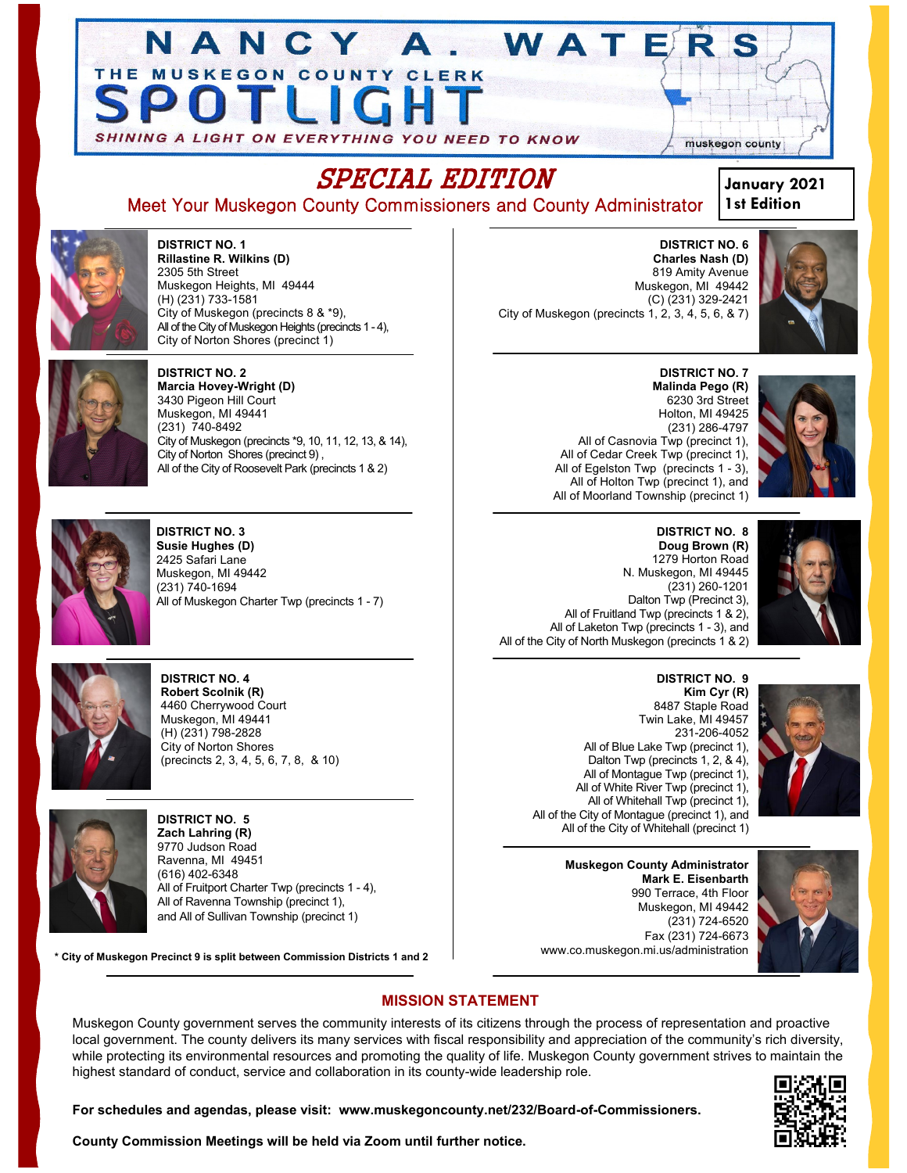



**DISTRICT NO. 1 Rillastine R. Wilkins (D)** 2305 5th Street Muskegon Heights, MI 49444 (H) (231) 733-1581 City of Muskegon (precincts 8 & \*9), All of the City of Muskegon Heights (precincts 1 - 4), City of Norton Shores (precinct 1)

N A N



**DISTRICT NO. 2 Marcia Hovey-Wright (D)** 3430 Pigeon Hill Court Muskegon, MI 49441 (231) 740-8492 City of Muskegon (precincts \*9, 10, 11, 12, 13, & 14), City of Norton Shores (precinct 9) , All of the City of Roosevelt Park (precincts 1 & 2)



**DISTRICT NO. 3 Susie Hughes (D)** 2425 Safari Lane Muskegon, MI 49442 (231) 740-1694 All of Muskegon Charter Twp (precincts 1 - 7)



**DISTRICT NO. 4 Robert Scolnik (R)** 4460 Cherrywood Court Muskegon, MI 49441 (H) (231) 798-2828 City of Norton Shores (precincts 2, 3, 4, 5, 6, 7, 8, & 10)



**DISTRICT NO. 5 Zach Lahring (R)** 9770 Judson Road Ravenna, MI 49451 (616) 402-6348 All of Fruitport Charter Twp (precincts 1 - 4), All of Ravenna Township (precinct 1), and All of Sullivan Township (precinct 1)

**\* City of Muskegon Precinct 9 is split between Commission Districts 1 and 2**

**DISTRICT NO. 6 Charles Nash (D)** 819 Amity Avenue Muskegon, MI 49442 (C) (231) 329-2421 City of Muskegon (precincts 1, 2, 3, 4, 5, 6, & 7)

WATE







**DISTRICT NO. 8 Doug Brown (R)** 1279 Horton Road N. Muskegon, MI 49445 (231) 260-1201 Dalton Twp (Precinct 3), All of Fruitland Twp (precincts 1 & 2), All of Laketon Twp (precincts 1 - 3), and All of the City of North Muskegon (precincts 1 & 2)

> **DISTRICT NO. 9 Kim Cyr (R)**  8487 Staple Road Twin Lake, MI 49457 231-206-4052 All of Blue Lake Twp (precinct 1), Dalton Twp (precincts 1, 2, & 4), All of Montague Twp (precinct 1), All of White River Twp (precinct 1), All of Whitehall Twp (precinct 1), All of the City of Montague (precinct 1), and All of the City of Whitehall (precinct 1)

**Muskegon County Administrator Mark E. Eisenbarth** 990 Terrace, 4th Floor Muskegon, MI 49442 (231) 724-6520 Fax (231) 724-6673 www.co.muskegon.mi.us/administration



# **MISSION STATEMENT**

Muskegon County government serves the community interests of its citizens through the process of representation and proactive local government. The county delivers its many services with fiscal responsibility and appreciation of the community's rich diversity, while protecting its environmental resources and promoting the quality of life. Muskegon County government strives to maintain the highest standard of conduct, service and collaboration in its county-wide leadership role.



**For schedules and agendas, please visit: www.muskegoncounty.net/232/Board-of-Commissioners.**

**County Commission Meetings will be held via Zoom until further notice.**